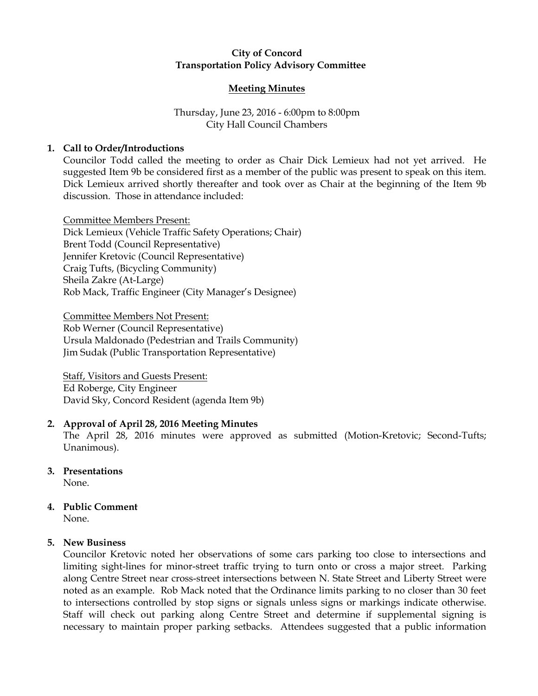## City of Concord Transportation Policy Advisory Committee

#### Meeting Minutes

# Thursday, June 23, 2016 - 6:00pm to 8:00pm City Hall Council Chambers

## 1. Call to Order/Introductions

Councilor Todd called the meeting to order as Chair Dick Lemieux had not yet arrived. He suggested Item 9b be considered first as a member of the public was present to speak on this item. Dick Lemieux arrived shortly thereafter and took over as Chair at the beginning of the Item 9b discussion. Those in attendance included:

Committee Members Present: Dick Lemieux (Vehicle Traffic Safety Operations; Chair) Brent Todd (Council Representative) Jennifer Kretovic (Council Representative) Craig Tufts, (Bicycling Community) Sheila Zakre (At-Large) Rob Mack, Traffic Engineer (City Manager's Designee)

Committee Members Not Present: Rob Werner (Council Representative) Ursula Maldonado (Pedestrian and Trails Community) Jim Sudak (Public Transportation Representative)

Staff, Visitors and Guests Present: Ed Roberge, City Engineer David Sky, Concord Resident (agenda Item 9b)

### 2. Approval of April 28, 2016 Meeting Minutes

The April 28, 2016 minutes were approved as submitted (Motion-Kretovic; Second-Tufts; Unanimous).

3. Presentations

None.

4. Public Comment

None.

# 5. New Business

Councilor Kretovic noted her observations of some cars parking too close to intersections and limiting sight-lines for minor-street traffic trying to turn onto or cross a major street. Parking along Centre Street near cross-street intersections between N. State Street and Liberty Street were noted as an example. Rob Mack noted that the Ordinance limits parking to no closer than 30 feet to intersections controlled by stop signs or signals unless signs or markings indicate otherwise. Staff will check out parking along Centre Street and determine if supplemental signing is necessary to maintain proper parking setbacks. Attendees suggested that a public information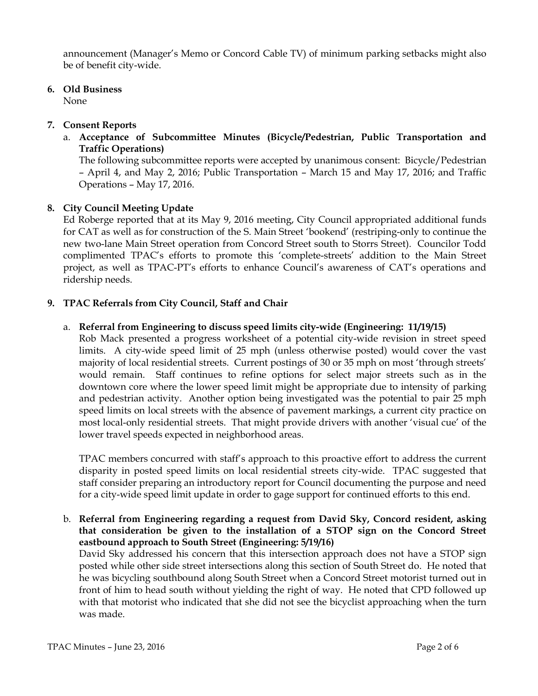announcement (Manager's Memo or Concord Cable TV) of minimum parking setbacks might also be of benefit city-wide.

6. Old Business

None

## 7. Consent Reports

a. Acceptance of Subcommittee Minutes (Bicycle/Pedestrian, Public Transportation and Traffic Operations)

The following subcommittee reports were accepted by unanimous consent: Bicycle/Pedestrian – April 4, and May 2, 2016; Public Transportation – March 15 and May 17, 2016; and Traffic Operations – May 17, 2016.

# 8. City Council Meeting Update

Ed Roberge reported that at its May 9, 2016 meeting, City Council appropriated additional funds for CAT as well as for construction of the S. Main Street 'bookend' (restriping-only to continue the new two-lane Main Street operation from Concord Street south to Storrs Street). Councilor Todd complimented TPAC's efforts to promote this 'complete-streets' addition to the Main Street project, as well as TPAC-PT's efforts to enhance Council's awareness of CAT's operations and ridership needs.

# 9. TPAC Referrals from City Council, Staff and Chair

### a. Referral from Engineering to discuss speed limits city-wide (Engineering: 11/19/15)

Rob Mack presented a progress worksheet of a potential city-wide revision in street speed limits. A city-wide speed limit of 25 mph (unless otherwise posted) would cover the vast majority of local residential streets. Current postings of 30 or 35 mph on most 'through streets' would remain. Staff continues to refine options for select major streets such as in the downtown core where the lower speed limit might be appropriate due to intensity of parking and pedestrian activity. Another option being investigated was the potential to pair 25 mph speed limits on local streets with the absence of pavement markings, a current city practice on most local-only residential streets. That might provide drivers with another 'visual cue' of the lower travel speeds expected in neighborhood areas.

TPAC members concurred with staff's approach to this proactive effort to address the current disparity in posted speed limits on local residential streets city-wide. TPAC suggested that staff consider preparing an introductory report for Council documenting the purpose and need for a city-wide speed limit update in order to gage support for continued efforts to this end.

b. Referral from Engineering regarding a request from David Sky, Concord resident, asking that consideration be given to the installation of a STOP sign on the Concord Street eastbound approach to South Street (Engineering: 5/19/16)

David Sky addressed his concern that this intersection approach does not have a STOP sign posted while other side street intersections along this section of South Street do. He noted that he was bicycling southbound along South Street when a Concord Street motorist turned out in front of him to head south without yielding the right of way. He noted that CPD followed up with that motorist who indicated that she did not see the bicyclist approaching when the turn was made.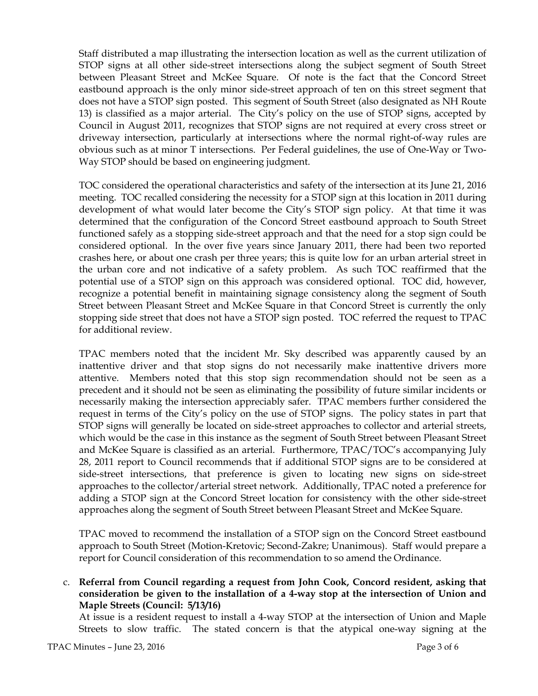Staff distributed a map illustrating the intersection location as well as the current utilization of STOP signs at all other side-street intersections along the subject segment of South Street between Pleasant Street and McKee Square. Of note is the fact that the Concord Street eastbound approach is the only minor side-street approach of ten on this street segment that does not have a STOP sign posted. This segment of South Street (also designated as NH Route 13) is classified as a major arterial. The City's policy on the use of STOP signs, accepted by Council in August 2011, recognizes that STOP signs are not required at every cross street or driveway intersection, particularly at intersections where the normal right-of-way rules are obvious such as at minor T intersections. Per Federal guidelines, the use of One-Way or Two-Way STOP should be based on engineering judgment.

TOC considered the operational characteristics and safety of the intersection at its June 21, 2016 meeting. TOC recalled considering the necessity for a STOP sign at this location in 2011 during development of what would later become the City's STOP sign policy. At that time it was determined that the configuration of the Concord Street eastbound approach to South Street functioned safely as a stopping side-street approach and that the need for a stop sign could be considered optional. In the over five years since January 2011, there had been two reported crashes here, or about one crash per three years; this is quite low for an urban arterial street in the urban core and not indicative of a safety problem. As such TOC reaffirmed that the potential use of a STOP sign on this approach was considered optional. TOC did, however, recognize a potential benefit in maintaining signage consistency along the segment of South Street between Pleasant Street and McKee Square in that Concord Street is currently the only stopping side street that does not have a STOP sign posted. TOC referred the request to TPAC for additional review.

TPAC members noted that the incident Mr. Sky described was apparently caused by an inattentive driver and that stop signs do not necessarily make inattentive drivers more attentive. Members noted that this stop sign recommendation should not be seen as a precedent and it should not be seen as eliminating the possibility of future similar incidents or necessarily making the intersection appreciably safer. TPAC members further considered the request in terms of the City's policy on the use of STOP signs. The policy states in part that STOP signs will generally be located on side-street approaches to collector and arterial streets, which would be the case in this instance as the segment of South Street between Pleasant Street and McKee Square is classified as an arterial. Furthermore, TPAC/TOC's accompanying July 28, 2011 report to Council recommends that if additional STOP signs are to be considered at side-street intersections, that preference is given to locating new signs on side-street approaches to the collector/arterial street network. Additionally, TPAC noted a preference for adding a STOP sign at the Concord Street location for consistency with the other side-street approaches along the segment of South Street between Pleasant Street and McKee Square.

TPAC moved to recommend the installation of a STOP sign on the Concord Street eastbound approach to South Street (Motion-Kretovic; Second-Zakre; Unanimous). Staff would prepare a report for Council consideration of this recommendation to so amend the Ordinance.

c. Referral from Council regarding a request from John Cook, Concord resident, asking that consideration be given to the installation of a 4-way stop at the intersection of Union and Maple Streets (Council: 5/13/16)

At issue is a resident request to install a 4-way STOP at the intersection of Union and Maple Streets to slow traffic. The stated concern is that the atypical one-way signing at the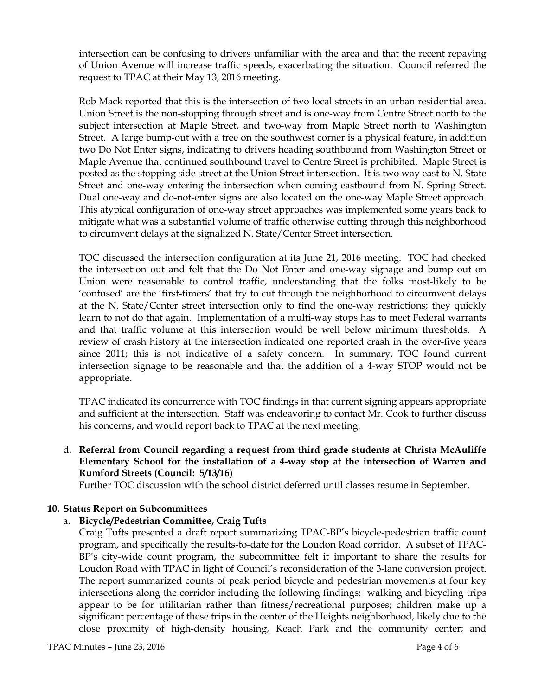intersection can be confusing to drivers unfamiliar with the area and that the recent repaving of Union Avenue will increase traffic speeds, exacerbating the situation. Council referred the request to TPAC at their May 13, 2016 meeting.

Rob Mack reported that this is the intersection of two local streets in an urban residential area. Union Street is the non-stopping through street and is one-way from Centre Street north to the subject intersection at Maple Street, and two-way from Maple Street north to Washington Street. A large bump-out with a tree on the southwest corner is a physical feature, in addition two Do Not Enter signs, indicating to drivers heading southbound from Washington Street or Maple Avenue that continued southbound travel to Centre Street is prohibited. Maple Street is posted as the stopping side street at the Union Street intersection. It is two way east to N. State Street and one-way entering the intersection when coming eastbound from N. Spring Street. Dual one-way and do-not-enter signs are also located on the one-way Maple Street approach. This atypical configuration of one-way street approaches was implemented some years back to mitigate what was a substantial volume of traffic otherwise cutting through this neighborhood to circumvent delays at the signalized N. State/Center Street intersection.

TOC discussed the intersection configuration at its June 21, 2016 meeting. TOC had checked the intersection out and felt that the Do Not Enter and one-way signage and bump out on Union were reasonable to control traffic, understanding that the folks most-likely to be 'confused' are the 'first-timers' that try to cut through the neighborhood to circumvent delays at the N. State/Center street intersection only to find the one-way restrictions; they quickly learn to not do that again. Implementation of a multi-way stops has to meet Federal warrants and that traffic volume at this intersection would be well below minimum thresholds. A review of crash history at the intersection indicated one reported crash in the over-five years since 2011; this is not indicative of a safety concern. In summary, TOC found current intersection signage to be reasonable and that the addition of a 4-way STOP would not be appropriate.

TPAC indicated its concurrence with TOC findings in that current signing appears appropriate and sufficient at the intersection. Staff was endeavoring to contact Mr. Cook to further discuss his concerns, and would report back to TPAC at the next meeting.

d. Referral from Council regarding a request from third grade students at Christa McAuliffe Elementary School for the installation of a 4-way stop at the intersection of Warren and Rumford Streets (Council: 5/13/16)

Further TOC discussion with the school district deferred until classes resume in September.

### 10. Status Report on Subcommittees

### a. Bicycle/Pedestrian Committee, Craig Tufts

Craig Tufts presented a draft report summarizing TPAC-BP's bicycle-pedestrian traffic count program, and specifically the results-to-date for the Loudon Road corridor. A subset of TPAC-BP's city-wide count program, the subcommittee felt it important to share the results for Loudon Road with TPAC in light of Council's reconsideration of the 3-lane conversion project. The report summarized counts of peak period bicycle and pedestrian movements at four key intersections along the corridor including the following findings: walking and bicycling trips appear to be for utilitarian rather than fitness/recreational purposes; children make up a significant percentage of these trips in the center of the Heights neighborhood, likely due to the close proximity of high-density housing, Keach Park and the community center; and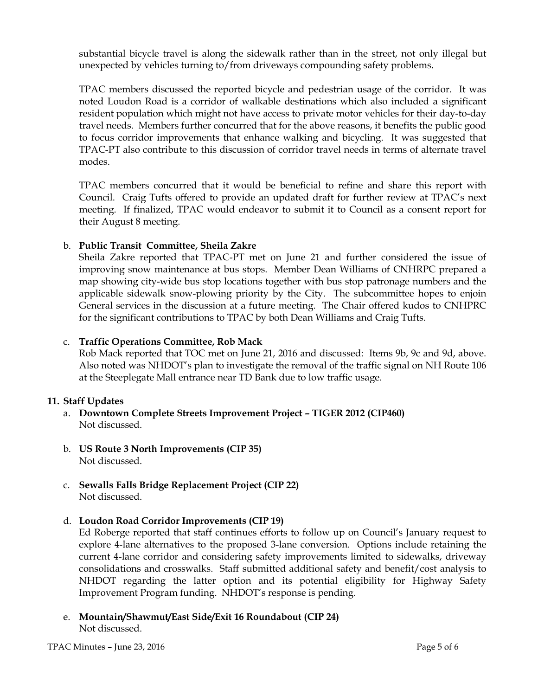substantial bicycle travel is along the sidewalk rather than in the street, not only illegal but unexpected by vehicles turning to/from driveways compounding safety problems.

TPAC members discussed the reported bicycle and pedestrian usage of the corridor. It was noted Loudon Road is a corridor of walkable destinations which also included a significant resident population which might not have access to private motor vehicles for their day-to-day travel needs. Members further concurred that for the above reasons, it benefits the public good to focus corridor improvements that enhance walking and bicycling. It was suggested that TPAC-PT also contribute to this discussion of corridor travel needs in terms of alternate travel modes.

TPAC members concurred that it would be beneficial to refine and share this report with Council. Craig Tufts offered to provide an updated draft for further review at TPAC's next meeting. If finalized, TPAC would endeavor to submit it to Council as a consent report for their August 8 meeting.

### b. Public Transit Committee, Sheila Zakre

Sheila Zakre reported that TPAC-PT met on June 21 and further considered the issue of improving snow maintenance at bus stops. Member Dean Williams of CNHRPC prepared a map showing city-wide bus stop locations together with bus stop patronage numbers and the applicable sidewalk snow-plowing priority by the City. The subcommittee hopes to enjoin General services in the discussion at a future meeting. The Chair offered kudos to CNHPRC for the significant contributions to TPAC by both Dean Williams and Craig Tufts.

### c. Traffic Operations Committee, Rob Mack

Rob Mack reported that TOC met on June 21, 2016 and discussed: Items 9b, 9c and 9d, above. Also noted was NHDOT's plan to investigate the removal of the traffic signal on NH Route 106 at the Steeplegate Mall entrance near TD Bank due to low traffic usage.

# 11. Staff Updates

- a. Downtown Complete Streets Improvement Project TIGER 2012 (CIP460) Not discussed.
- b. US Route 3 North Improvements (CIP 35) Not discussed.
- c. Sewalls Falls Bridge Replacement Project (CIP 22) Not discussed.
- d. Loudon Road Corridor Improvements (CIP 19)

Ed Roberge reported that staff continues efforts to follow up on Council's January request to explore 4-lane alternatives to the proposed 3-lane conversion. Options include retaining the current 4-lane corridor and considering safety improvements limited to sidewalks, driveway consolidations and crosswalks. Staff submitted additional safety and benefit/cost analysis to NHDOT regarding the latter option and its potential eligibility for Highway Safety Improvement Program funding. NHDOT's response is pending.

e. Mountain/Shawmut/East Side/Exit 16 Roundabout (CIP 24) Not discussed.